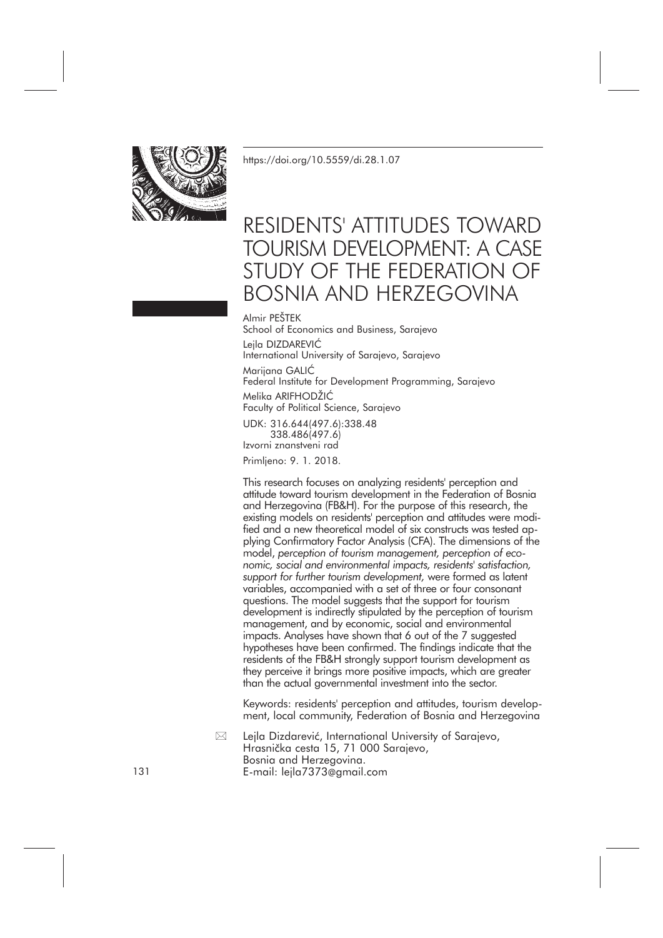

<https://doi.org/10.5559/di.28.1.07>

# RESIDENTS' ATTITUDES TOWARD TOURISM DEVELOPMENT: A CASE STUDY OF THE FEDERATION OF BOSNIA AND HERZEGOVINA

Almir PEŠTEK

School of Economics and Business, Sarajevo Lejla DIZDAREVIĆ International University of Sarajevo, Sarajevo Marijana GALIĆ Federal Institute for Development Programming, Sarajevo Melika ARIFHODŽIĆ Faculty of Political Science, Sarajevo UDK: 316.644(497.6):338.48

338.486(497.6) Izvorni znanstveni rad

Primljeno: 9. 1. 2018.

This research focuses on analyzing residents' perception and attitude toward tourism development in the Federation of Bosnia and Herzegovina (FB&H). For the purpose of this research, the existing models on residents' perception and attitudes were modified and a new theoretical model of six constructs was tested applying Confirmatory Factor Analysis (CFA). The dimensions of the model, *perception of tourism management, perception of economic, social and environmental impacts, residents' satisfaction, support for further tourism development,* were formed as latent variables, accompanied with a set of three or four consonant questions. The model suggests that the support for tourism development is indirectly stipulated by the perception of tourism management, and by economic, social and environmental impacts. Analyses have shown that 6 out of the 7 suggested hypotheses have been confirmed. The findings indicate that the residents of the FB&H strongly support tourism development as they perceive it brings more positive impacts, which are greater than the actual governmental investment into the sector.

Keywords: residents' perception and attitudes, tourism development, local community, Federation of Bosnia and Herzegovina

Lejla Dizdarević, International University of Sarajevo, Hrasnička cesta 15, 71 000 Sarajevo, Bosnia and Herzegovina. 131 E-mail: lejla7373@gmail.com  $\boxtimes$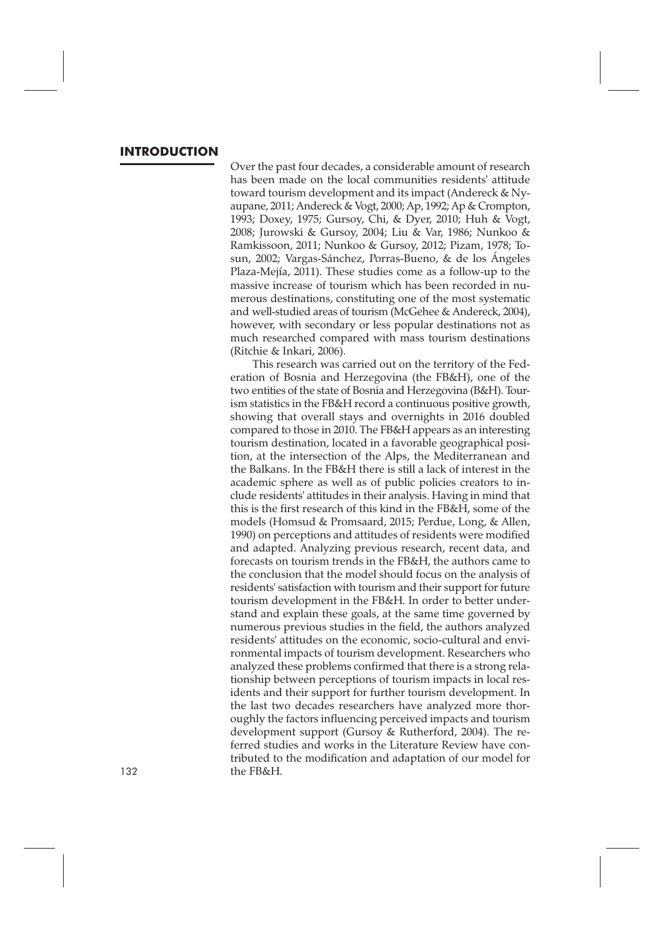# **INTRODUCTION**

Over the past four decades, a considerable amount of research has been made on the local communities residents' attitude toward tourism development and its impact (Andereck & Nyaupane, 2011; Andereck & Vogt, 2000; Ap, 1992; Ap & Crompton, 1993; Doxey, 1975; Gursoy, Chi, & Dyer, 2010; Huh & Vogt, 2008; Jurowski & Gursoy, 2004; Liu & Var, 1986; Nunkoo & Ramkissoon, 2011; Nunkoo & Gursoy, 2012; Pizam, 1978; Tosun, 2002; Vargas-Sánchez, Porras-Bueno, & de los Ángeles Plaza-Mejía, 2011). These studies come as a follow-up to the massive increase of tourism which has been recorded in numerous destinations, constituting one of the most systematic and well-studied areas of tourism (McGehee & Andereck, 2004), however, with secondary or less popular destinations not as much researched compared with mass tourism destinations (Ritchie & Inkari, 2006).

This research was carried out on the territory of the Federation of Bosnia and Herzegovina (the FB&H), one of the two entities of the state of Bosnia and Herzegovina (B&H). Tourism statistics in the FB&H record a continuous positive growth, showing that overall stays and overnights in 2016 doubled compared to those in 2010. The FB&H appears as an interesting tourism destination, located in a favorable geographical position, at the intersection of the Alps, the Mediterranean and the Balkans. In the FB&H there is still a lack of interest in the academic sphere as well as of public policies creators to include residents' attitudes in their analysis. Having in mind that this is the first research of this kind in the FB&H, some of the models (Homsud & Promsaard, 2015; Perdue, Long, & Allen, 1990) on perceptions and attitudes of residents were modified and adapted. Analyzing previous research, recent data, and forecasts on tourism trends in the FB&H, the authors came to the conclusion that the model should focus on the analysis of residents' satisfaction with tourism and their support for future tourism development in the FB&H. In order to better understand and explain these goals, at the same time governed by numerous previous studies in the field, the authors analyzed residents' attitudes on the economic, socio-cultural and environmental impacts of tourism development. Researchers who analyzed these problems confirmed that there is a strong relationship between perceptions of tourism impacts in local residents and their support for further tourism development. In the last two decades researchers have analyzed more thoroughly the factors influencing perceived impacts and tourism development support (Gursoy & Rutherford, 2004). The referred studies and works in the Literature Review have contributed to the modification and adaptation of our model for 132 the FB&H.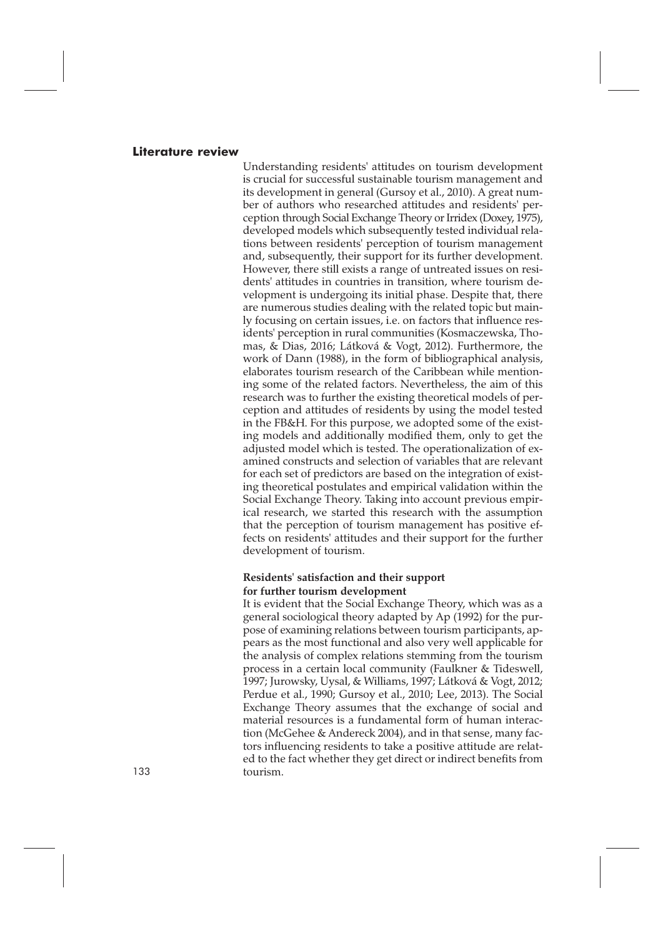#### **Literature review**

Understanding residents' attitudes on tourism development is crucial for successful sustainable tourism management and its development in general (Gursoy et al., 2010). A great number of authors who researched attitudes and residents' perception through Social Exchange Theory or Irridex (Doxey, 1975), developed models which subsequently tested individual relations between residents' perception of tourism management and, subsequently, their support for its further development. However, there still exists a range of untreated issues on residents' attitudes in countries in transition, where tourism development is undergoing its initial phase. Despite that, there are numerous studies dealing with the related topic but mainly focusing on certain issues, i.e. on factors that influence residents' perception in rural communities (Kosmaczewska, Thomas, & Dias, 2016; Látková & Vogt, 2012). Furthermore, the work of Dann (1988), in the form of bibliographical analysis, elaborates tourism research of the Caribbean while mentioning some of the related factors. Nevertheless, the aim of this research was to further the existing theoretical models of perception and attitudes of residents by using the model tested in the FB&H. For this purpose, we adopted some of the existing models and additionally modified them, only to get the adjusted model which is tested. The operationalization of examined constructs and selection of variables that are relevant for each set of predictors are based on the integration of existing theoretical postulates and empirical validation within the Social Exchange Theory. Taking into account previous empirical research, we started this research with the assumption that the perception of tourism management has positive effects on residents' attitudes and their support for the further development of tourism.

#### **Residents' satisfaction and their support for further tourism development**

It is evident that the Social Exchange Theory, which was as a general sociological theory adapted by Ap (1992) for the purpose of examining relations between tourism participants, appears as the most functional and also very well applicable for the analysis of complex relations stemming from the tourism process in a certain local community (Faulkner & Tideswell, 1997; Jurowsky, Uysal, & Williams, 1997; Látková & Vogt, 2012; Perdue et al., 1990; Gursoy et al., 2010; Lee, 2013). The Social Exchange Theory assumes that the exchange of social and material resources is a fundamental form of human interaction (McGehee & Andereck 2004), and in that sense, many factors influencing residents to take a positive attitude are related to the fact whether they get direct or indirect benefits from 133 tourism.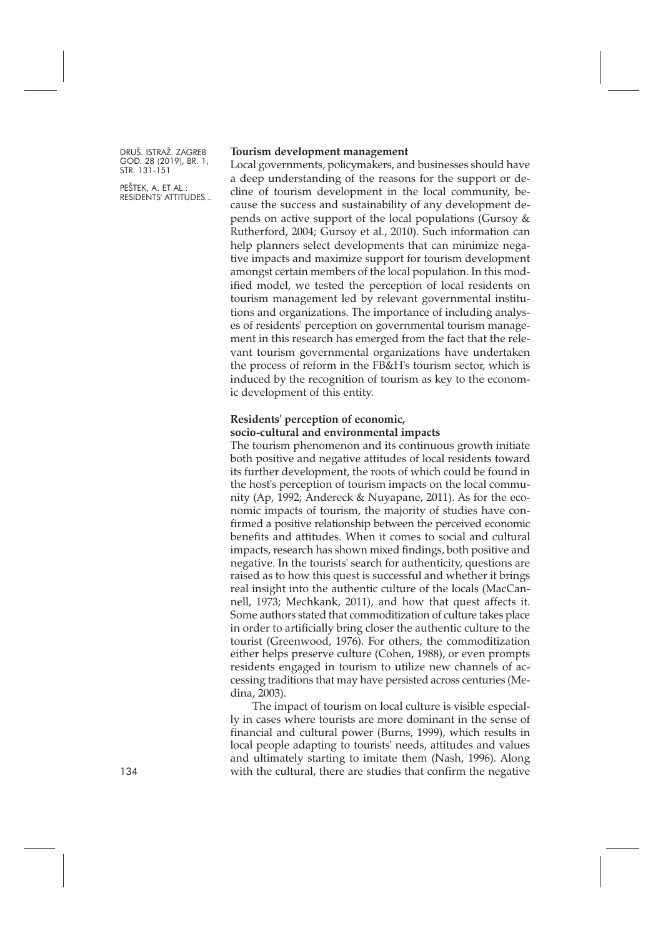PEŠTEK, A. ET AL.: RESIDENTS' ATTITUDES...

#### **Tourism development management**

Local governments, policymakers, and businesses should have a deep understanding of the reasons for the support or decline of tourism development in the local community, because the success and sustainability of any development depends on active support of the local populations (Gursoy & Rutherford, 2004; Gursoy et al., 2010). Such information can help planners select developments that can minimize negative impacts and maximize support for tourism development amongst certain members of the local population. In this modified model, we tested the perception of local residents on tourism management led by relevant governmental institutions and organizations. The importance of including analyses of residents' perception on governmental tourism management in this research has emerged from the fact that the relevant tourism governmental organizations have undertaken the process of reform in the FB&H's tourism sector, which is induced by the recognition of tourism as key to the economic development of this entity.

#### **Residents' perception of economic, socio-cultural and environmental impacts**

The tourism phenomenon and its continuous growth initiate both positive and negative attitudes of local residents toward its further development, the roots of which could be found in the host's perception of tourism impacts on the local community (Ap, 1992; Andereck & Nuyapane, 2011). As for the economic impacts of tourism, the majority of studies have confirmed a positive relationship between the perceived economic benefits and attitudes. When it comes to social and cultural impacts, research has shown mixed findings, both positive and negative. In the tourists' search for authenticity, questions are raised as to how this quest is successful and whether it brings real insight into the authentic culture of the locals (MacCannell, 1973; Mechkank, 2011), and how that quest affects it. Some authors stated that commoditization of culture takes place in order to artificially bring closer the authentic culture to the tourist (Greenwood, 1976). For others, the commoditization either helps preserve culture (Cohen, 1988), or even prompts residents engaged in tourism to utilize new channels of accessing traditions that may have persisted across centuries (Medina, 2003).

The impact of tourism on local culture is visible especially in cases where tourists are more dominant in the sense of financial and cultural power (Burns, 1999), which results in local people adapting to tourists' needs, attitudes and values and ultimately starting to imitate them (Nash, 1996). Along with the cultural, there are studies that confirm the negative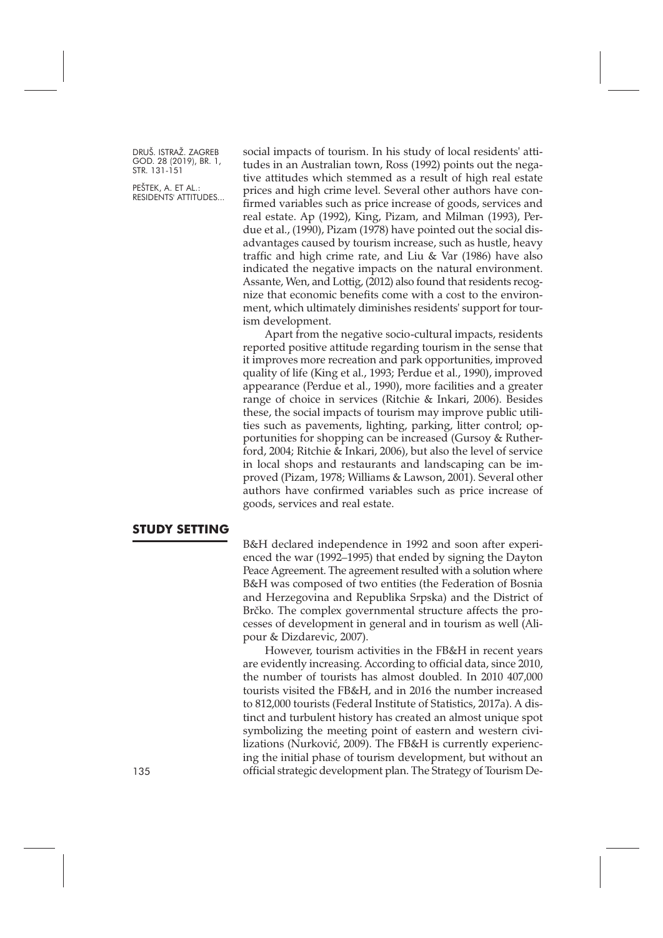PEŠTEK, A. ET AL.: RESIDENTS' ATTITUDES... social impacts of tourism. In his study of local residents' attitudes in an Australian town, Ross (1992) points out the negative attitudes which stemmed as a result of high real estate prices and high crime level. Several other authors have confirmed variables such as price increase of goods, services and real estate. Ap (1992), King, Pizam, and Milman (1993), Perdue et al., (1990), Pizam (1978) have pointed out the social disadvantages caused by tourism increase, such as hustle, heavy traffic and high crime rate, and Liu & Var (1986) have also indicated the negative impacts on the natural environment. Assante, Wen, and Lottig, (2012) also found that residents recognize that economic benefits come with a cost to the environment, which ultimately diminishes residents' support for tourism development.

Apart from the negative socio-cultural impacts, residents reported positive attitude regarding tourism in the sense that it improves more recreation and park opportunities, improved quality of life (King et al., 1993; Perdue et al., 1990), improved appearance (Perdue et al., 1990), more facilities and a greater range of choice in services (Ritchie & Inkari, 2006). Besides these, the social impacts of tourism may improve public utilities such as pavements, lighting, parking, litter control; opportunities for shopping can be increased (Gursoy & Rutherford, 2004; Ritchie & Inkari, 2006), but also the level of service in local shops and restaurants and landscaping can be improved (Pizam, 1978; Williams & Lawson, 2001). Several other authors have confirmed variables such as price increase of goods, services and real estate.

# **STUDY SETTING**

B&H declared independence in 1992 and soon after experienced the war (1992–1995) that ended by signing the Dayton Peace Agreement. The agreement resulted with a solution where B&H was composed of two entities (the Federation of Bosnia and Herzegovina and Republika Srpska) and the District of Brčko. The complex governmental structure affects the processes of development in general and in tourism as well (Alipour & Dizdarevic, 2007).

However, tourism activities in the FB&H in recent years are evidently increasing. According to official data, since 2010, the number of tourists has almost doubled. In 2010 407,000 tourists visited the FB&H, and in 2016 the number increased to 812,000 tourists (Federal Institute of Statistics, 2017a). A distinct and turbulent history has created an almost unique spot symbolizing the meeting point of eastern and western civilizations (Nurković, 2009). The FB&H is currently experiencing the initial phase of tourism development, but without an 135 official strategic development plan. The Strategy of Tourism De-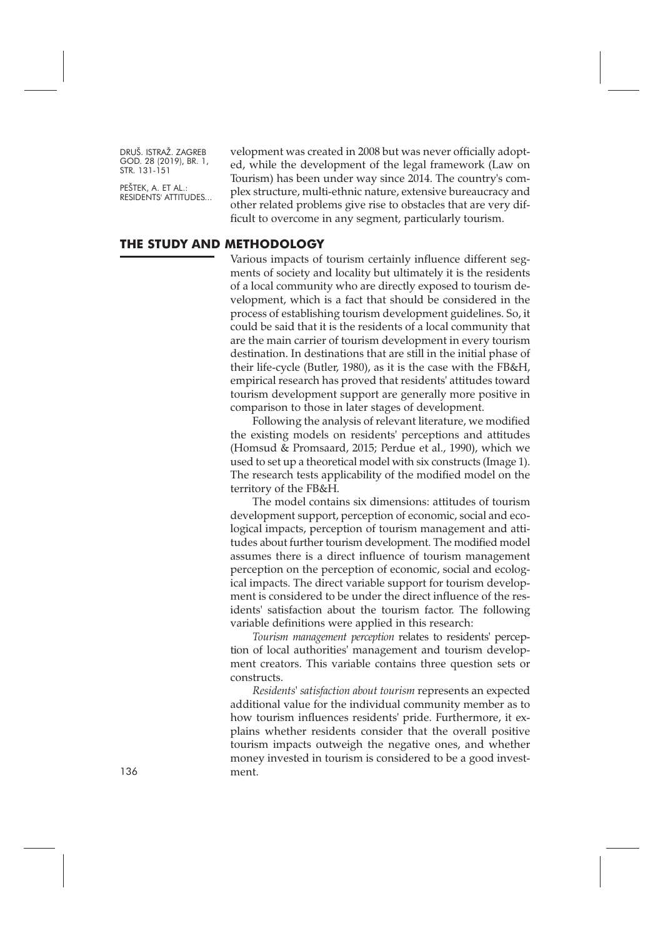PEŠTEK, A. ET AL.: RESIDENTS' ATTITUDES... velopment was created in 2008 but was never officially adopted, while the development of the legal framework (Law on Tourism) has been under way since 2014. The country's complex structure, multi-ethnic nature, extensive bureaucracy and other related problems give rise to obstacles that are very difficult to overcome in any segment, particularly tourism.

#### **THE STUDY AND METHODOLOGY**

Various impacts of tourism certainly influence different segments of society and locality but ultimately it is the residents of a local community who are directly exposed to tourism development, which is a fact that should be considered in the process of establishing tourism development guidelines. So, it could be said that it is the residents of a local community that are the main carrier of tourism development in every tourism destination. In destinations that are still in the initial phase of their life-cycle (Butler, 1980), as it is the case with the FB&H, empirical research has proved that residents' attitudes toward tourism development support are generally more positive in comparison to those in later stages of development.

Following the analysis of relevant literature, we modified the existing models on residents' perceptions and attitudes (Homsud & Promsaard, 2015; Perdue et al., 1990), which we used to set up a theoretical model with six constructs (Image 1). The research tests applicability of the modified model on the territory of the FB&H.

The model contains six dimensions: attitudes of tourism development support, perception of economic, social and ecological impacts, perception of tourism management and attitudes about further tourism development. The modified model assumes there is a direct influence of tourism management perception on the perception of economic, social and ecological impacts. The direct variable support for tourism development is considered to be under the direct influence of the residents' satisfaction about the tourism factor. The following variable definitions were applied in this research:

*Tourism management perception* relates to residents' perception of local authorities' management and tourism development creators. This variable contains three question sets or constructs.

*Residents' satisfaction about tourism* represents an expected additional value for the individual community member as to how tourism influences residents' pride. Furthermore, it explains whether residents consider that the overall positive tourism impacts outweigh the negative ones, and whether money invested in tourism is considered to be a good investment.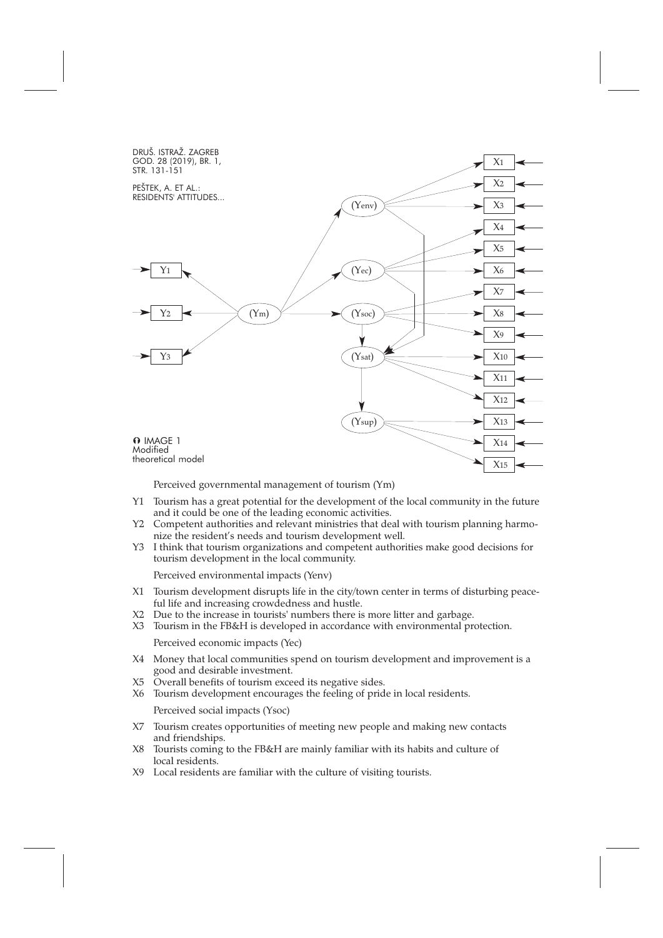

Perceived governmental management of tourism (Ym)

- Y1 Tourism has a great potential for the development of the local community in the future and it could be one of the leading economic activities.
- Y2 Competent authorities and relevant ministries that deal with tourism planning harmonize the resident's needs and tourism development well.
- Y3 I think that tourism organizations and competent authorities make good decisions for tourism development in the local community.

Perceived environmental impacts (Yenv)

- X1 Tourism development disrupts life in the city/town center in terms of disturbing peaceful life and increasing crowdedness and hustle.
- X2 Due to the increase in tourists' numbers there is more litter and garbage.
- X3 Tourism in the FB&H is developed in accordance with environmental protection. Perceived economic impacts (Yec)
- X4 Money that local communities spend on tourism development and improvement is a good and desirable investment.
- X5 Overall benefits of tourism exceed its negative sides.
- X6 Tourism development encourages the feeling of pride in local residents.

Perceived social impacts (Ysoc)

- X7 Tourism creates opportunities of meeting new people and making new contacts and friendships.
- X8 Tourists coming to the FB&H are mainly familiar with its habits and culture of local residents.
- X9 Local residents are familiar with the culture of visiting tourists.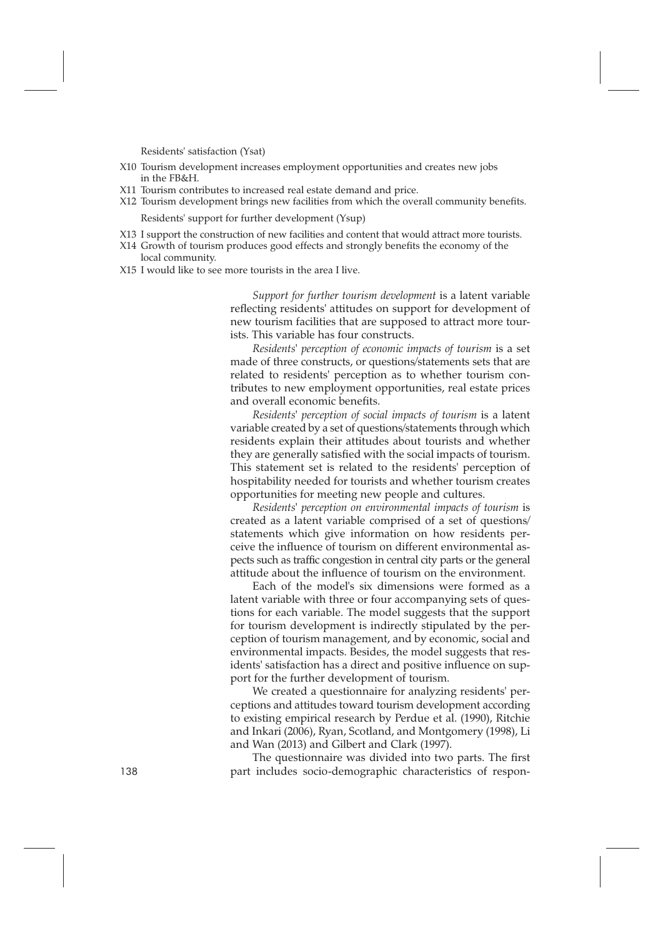Residents' satisfaction (Ysat)

- X10 Tourism development increases employment opportunities and creates new jobs in the FB&H.
- X11 Tourism contributes to increased real estate demand and price.
- X12 Tourism development brings new facilities from which the overall community benefits.

Residents' support for further development (Ysup)

- X13 I support the construction of new facilities and content that would attract more tourists.
- X14 Growth of tourism produces good effects and strongly benefits the economy of the
- local community.
- X15 I would like to see more tourists in the area I live.

*Support for further tourism development* is a latent variable reflecting residents' attitudes on support for development of new tourism facilities that are supposed to attract more tourists. This variable has four constructs.

*Residents' perception of economic impacts of tourism* is a set made of three constructs, or questions/statements sets that are related to residents' perception as to whether tourism contributes to new employment opportunities, real estate prices and overall economic benefits.

*Residents' perception of social impacts of tourism* is a latent variable created by a set of questions/statements through which residents explain their attitudes about tourists and whether they are generally satisfied with the social impacts of tourism. This statement set is related to the residents' perception of hospitability needed for tourists and whether tourism creates opportunities for meeting new people and cultures.

*Residents' perception on environmental impacts of tourism* is created as a latent variable comprised of a set of questions/ statements which give information on how residents perceive the influence of tourism on different environmental aspects such as traffic congestion in central city parts or the general attitude about the influence of tourism on the environment.

Each of the model's six dimensions were formed as a latent variable with three or four accompanying sets of questions for each variable. The model suggests that the support for tourism development is indirectly stipulated by the perception of tourism management, and by economic, social and environmental impacts. Besides, the model suggests that residents' satisfaction has a direct and positive influence on support for the further development of tourism.

We created a questionnaire for analyzing residents' perceptions and attitudes toward tourism development according to existing empirical research by Perdue et al. (1990), Ritchie and Inkari (2006), Ryan, Scotland, and Montgomery (1998), Li and Wan (2013) and Gilbert and Clark (1997).

The questionnaire was divided into two parts. The first 138 part includes socio-demographic characteristics of respon-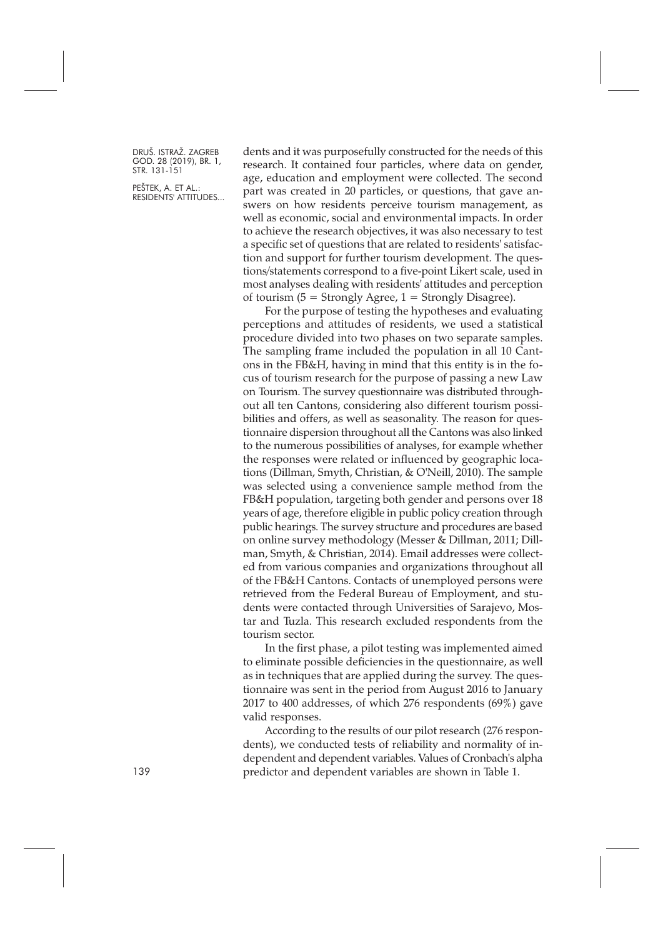PEŠTEK, A. ET AL.: RESIDENTS' ATTITUDES... dents and it was purposefully constructed for the needs of this research. It contained four particles, where data on gender, age, education and employment were collected. The second part was created in 20 particles, or questions, that gave answers on how residents perceive tourism management, as well as economic, social and environmental impacts. In order to achieve the research objectives, it was also necessary to test a specific set of questions that are related to residents' satisfaction and support for further tourism development. The questions/statements correspond to a five-point Likert scale, used in most analyses dealing with residents' attitudes and perception of tourism  $(5 =$  Strongly Agree,  $1 =$  Strongly Disagree).

For the purpose of testing the hypotheses and evaluating perceptions and attitudes of residents, we used a statistical procedure divided into two phases on two separate samples. The sampling frame included the population in all 10 Cantons in the FB&H, having in mind that this entity is in the focus of tourism research for the purpose of passing a new Law on Tourism. The survey questionnaire was distributed throughout all ten Cantons, considering also different tourism possibilities and offers, as well as seasonality. The reason for questionnaire dispersion throughout all the Cantons was also linked to the numerous possibilities of analyses, for example whether the responses were related or influenced by geographic locations (Dillman, Smyth, Christian, & O'Neill, 2010). The sample was selected using a convenience sample method from the FB&H population, targeting both gender and persons over 18 years of age, therefore eligible in public policy creation through public hearings. The survey structure and procedures are based on online survey methodology (Messer & Dillman, 2011; Dillman, Smyth, & Christian, 2014). Email addresses were collected from various companies and organizations throughout all of the FB&H Cantons. Contacts of unemployed persons were retrieved from the Federal Bureau of Employment, and students were contacted through Universities of Sarajevo, Mostar and Tuzla. This research excluded respondents from the tourism sector.

In the first phase, a pilot testing was implemented aimed to eliminate possible deficiencies in the questionnaire, as well as in techniques that are applied during the survey. The questionnaire was sent in the period from August 2016 to January 2017 to 400 addresses, of which 276 respondents (69%) gave valid responses.

According to the results of our pilot research (276 respondents), we conducted tests of reliability and normality of independent and dependent variables. Values of Cronbach's alpha 139 predictor and dependent variables are shown in Table 1.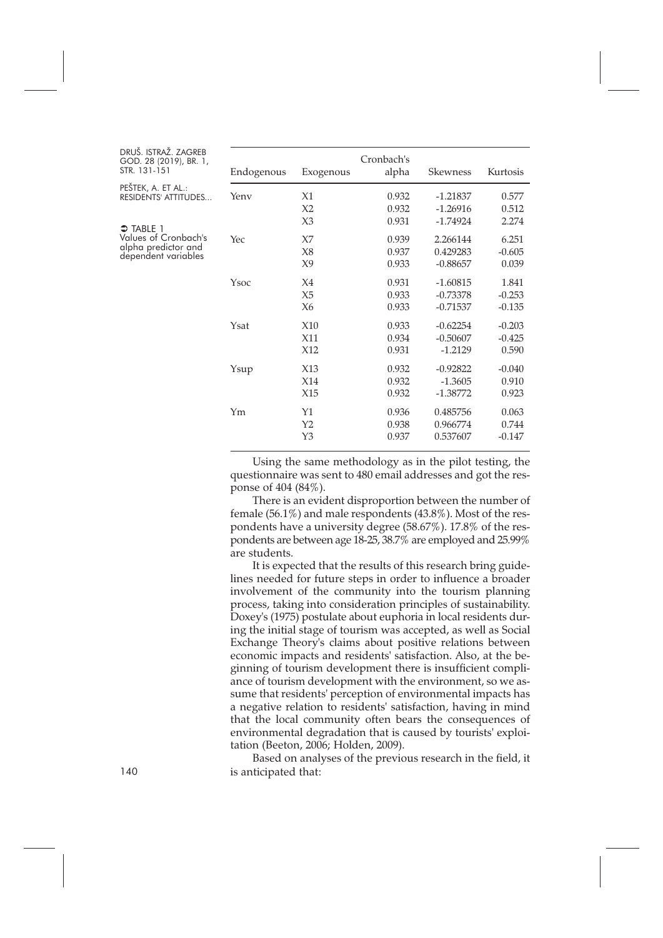| DRUŠ. ISTRAŽ. ZAGREB   |  |  |
|------------------------|--|--|
| GOD. 28 (2019), BR. 1, |  |  |
| STR. 131-151           |  |  |

| PESTEK, A. ET AL.:   |
|----------------------|
| RESIDENTS' ATTITUDES |

 $\supset$  TABLE 1 Values of Cronbach's alpha predictor and

dependent variables

| Endogenous | Exogenous      | Cronbach's<br>alpha | Skewness   | Kurtosis |
|------------|----------------|---------------------|------------|----------|
| Yenv       | X1             | 0.932               | $-1.21837$ | 0.577    |
|            | X <sub>2</sub> | 0.932               | $-1.26916$ | 0.512    |
|            | X3             | 0.931               | $-1.74924$ | 2.274    |
| Yec        | X <sub>7</sub> | 0.939               | 2.266144   | 6.251    |
|            | X8             | 0.937               | 0.429283   | $-0.605$ |
|            | X9             | 0.933               | $-0.88657$ | 0.039    |
| Ysoc       | X <sub>4</sub> | 0.931               | $-1.60815$ | 1.841    |
|            | X <sub>5</sub> | 0.933               | $-0.73378$ | $-0.253$ |
|            | X6             | 0.933               | $-0.71537$ | $-0.135$ |
| Ysat       | X10            | 0.933               | $-0.62254$ | $-0.203$ |
|            | X11            | 0.934               | $-0.50607$ | $-0.425$ |
|            | X12            | 0.931               | $-1.2129$  | 0.590    |
| Ysup       | X13            | 0.932               | $-0.92822$ | $-0.040$ |
|            | X14            | 0.932               | $-1.3605$  | 0.910    |
|            | X15            | 0.932               | $-1.38772$ | 0.923    |
| Ym         | Y1             | 0.936               | 0.485756   | 0.063    |
|            | Y <sub>2</sub> | 0.938               | 0.966774   | 0.744    |
|            | Y3             | 0.937               | 0.537607   | $-0.147$ |
|            |                |                     |            |          |

Using the same methodology as in the pilot testing, the questionnaire was sent to 480 email addresses and got the response of 404 (84%).

There is an evident disproportion between the number of female (56.1%) and male respondents (43.8%). Most of the respondents have a university degree (58.67%). 17.8% of the respondents are between age 18-25, 38.7% are employed and 25.99% are students.

It is expected that the results of this research bring guidelines needed for future steps in order to influence a broader involvement of the community into the tourism planning process, taking into consideration principles of sustainability. Doxey's (1975) postulate about euphoria in local residents during the initial stage of tourism was accepted, as well as Social Exchange Theory's claims about positive relations between economic impacts and residents' satisfaction. Also, at the beginning of tourism development there is insufficient compliance of tourism development with the environment, so we assume that residents' perception of environmental impacts has a negative relation to residents' satisfaction, having in mind that the local community often bears the consequences of environmental degradation that is caused by tourists' exploitation (Beeton, 2006; Holden, 2009).

Based on analyses of the previous research in the field, it is anticipated that: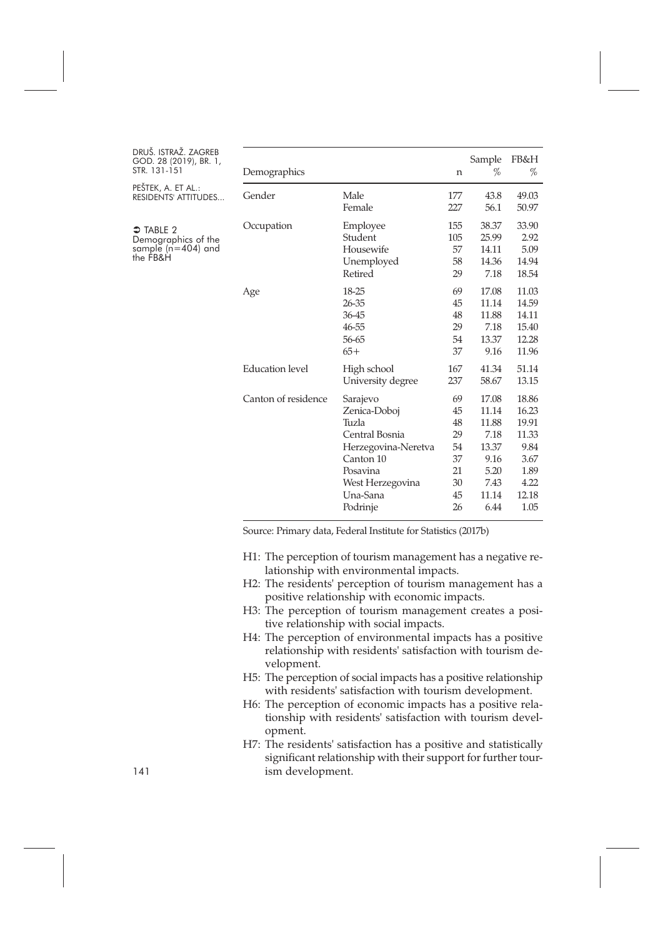| DRUŠ. ISTRAŽ. ZAGREB<br>GOD. 28 (2019), BR. 1,<br>STR. 131-151                 | Demographics           |                                                                                                                                                 | n                                                        | Sample<br>%                                                                       | FB&H<br>%                                                                         |
|--------------------------------------------------------------------------------|------------------------|-------------------------------------------------------------------------------------------------------------------------------------------------|----------------------------------------------------------|-----------------------------------------------------------------------------------|-----------------------------------------------------------------------------------|
| PEŠTEK, A. ET AL.:<br><b>RESIDENTS' ATTITUDES</b>                              | Gender                 | Male<br>Female                                                                                                                                  | 177<br>227                                               | 43.8<br>56.1                                                                      | 49.03<br>50.97                                                                    |
| $\supset$ TABLE 2<br>Demographics of the<br>sample ( $n=404$ ) and<br>the FB&H | Occupation             | Employee<br>Student<br>Housewife<br>Unemployed<br>Retired                                                                                       | 155<br>105<br>57<br>58<br>29                             | 38.37<br>25.99<br>14.11<br>14.36<br>7.18                                          | 33.90<br>2.92<br>5.09<br>14.94<br>18.54                                           |
|                                                                                | Age                    | 18-25<br>26-35<br>36-45<br>46-55<br>56-65<br>$65+$                                                                                              | 69<br>45<br>48<br>29<br>54<br>37                         | 17.08<br>11.14<br>11.88<br>7.18<br>13.37<br>9.16                                  | 11.03<br>14.59<br>14.11<br>15.40<br>12.28<br>11.96                                |
|                                                                                | <b>Education</b> level | High school<br>University degree                                                                                                                | 167<br>237                                               | 41.34<br>58.67                                                                    | 51.14<br>13.15                                                                    |
|                                                                                | Canton of residence    | Sarajevo<br>Zenica-Doboj<br>Tuzla<br>Central Bosnia<br>Herzegovina-Neretva<br>Canton 10<br>Posavina<br>West Herzegovina<br>Una-Sana<br>Podrinje | 69<br>45<br>48<br>29<br>54<br>37<br>21<br>30<br>45<br>26 | 17.08<br>11.14<br>11.88<br>7.18<br>13.37<br>9.16<br>5.20<br>7.43<br>11.14<br>6.44 | 18.86<br>16.23<br>19.91<br>11.33<br>9.84<br>3.67<br>1.89<br>4.22<br>12.18<br>1.05 |

Source: Primary data, Federal Institute for Statistics (2017b)

- H1: The perception of tourism management has a negative relationship with environmental impacts.
- H2: The residents' perception of tourism management has a positive relationship with economic impacts.
- H3: The perception of tourism management creates a positive relationship with social impacts.
- H4: The perception of environmental impacts has a positive relationship with residents' satisfaction with tourism development.
- H5: The perception of social impacts has a positive relationship with residents' satisfaction with tourism development.
- H6: The perception of economic impacts has a positive relationship with residents' satisfaction with tourism development.
- H7: The residents' satisfaction has a positive and statistically significant relationship with their support for further tour-141 ism development.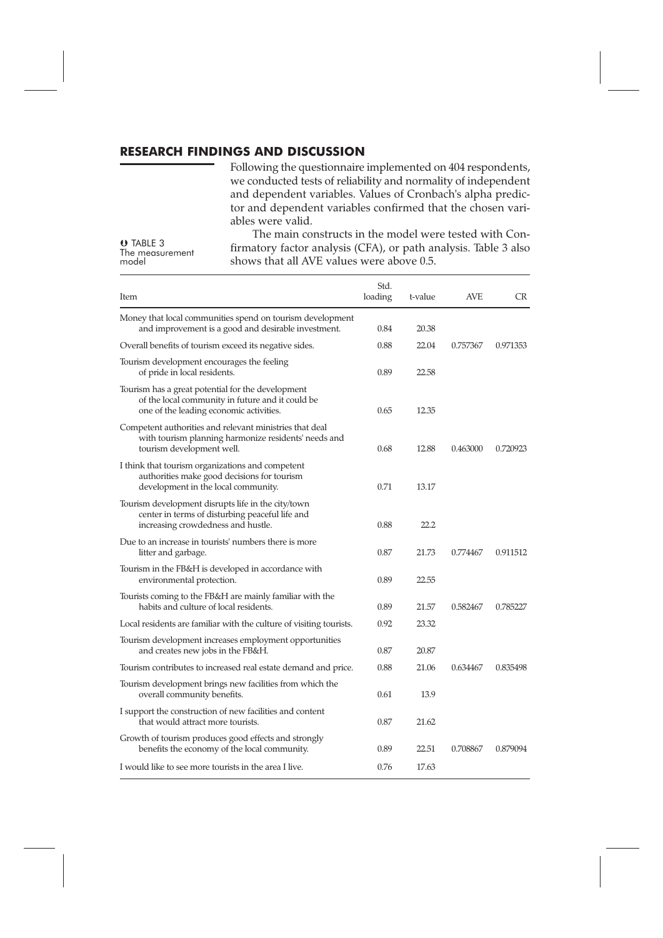# **RESEARCH FINDINGS AND DISCUSSION**

Following the questionnaire implemented on 404 respondents, we conducted tests of reliability and normality of independent and dependent variables. Values of Cronbach's alpha predictor and dependent variables confirmed that the chosen variables were valid.

 TABLE 3 The measurement<br>model

The main constructs in the model were tested with Confirmatory factor analysis (CFA), or path analysis. Table 3 also shows that all AVE values were above 0.5.

| Item                                                                                                                                             | Std.<br>loading | t-value | AVE      | CR       |
|--------------------------------------------------------------------------------------------------------------------------------------------------|-----------------|---------|----------|----------|
| Money that local communities spend on tourism development<br>and improvement is a good and desirable investment.                                 | 0.84            | 20.38   |          |          |
| Overall benefits of tourism exceed its negative sides.                                                                                           | 0.88            | 22.04   | 0.757367 | 0.971353 |
| Tourism development encourages the feeling<br>of pride in local residents.                                                                       | 0.89            | 22.58   |          |          |
| Tourism has a great potential for the development<br>of the local community in future and it could be<br>one of the leading economic activities. | 0.65            | 12.35   |          |          |
| Competent authorities and relevant ministries that deal<br>with tourism planning harmonize residents' needs and<br>tourism development well.     | 0.68            | 12.88   | 0.463000 | 0.720923 |
| I think that tourism organizations and competent<br>authorities make good decisions for tourism<br>development in the local community.           | 0.71            | 13.17   |          |          |
| Tourism development disrupts life in the city/town<br>center in terms of disturbing peaceful life and<br>increasing crowdedness and hustle.      | 0.88            | 22.2    |          |          |
| Due to an increase in tourists' numbers there is more<br>litter and garbage.                                                                     | 0.87            | 21.73   | 0.774467 | 0.911512 |
| Tourism in the FB&H is developed in accordance with<br>environmental protection.                                                                 | 0.89            | 22.55   |          |          |
| Tourists coming to the FB&H are mainly familiar with the<br>habits and culture of local residents.                                               | 0.89            | 21.57   | 0.582467 | 0.785227 |
| Local residents are familiar with the culture of visiting tourists.                                                                              | 0.92            | 23.32   |          |          |
| Tourism development increases employment opportunities<br>and creates new jobs in the FB&H.                                                      | 0.87            | 20.87   |          |          |
| Tourism contributes to increased real estate demand and price.                                                                                   | 0.88            | 21.06   | 0.634467 | 0.835498 |
| Tourism development brings new facilities from which the<br>overall community benefits.                                                          | 0.61            | 13.9    |          |          |
| I support the construction of new facilities and content<br>that would attract more tourists.                                                    | 0.87            | 21.62   |          |          |
| Growth of tourism produces good effects and strongly<br>benefits the economy of the local community.                                             | 0.89            | 22.51   | 0.708867 | 0.879094 |
| I would like to see more tourists in the area I live.                                                                                            | 0.76            | 17.63   |          |          |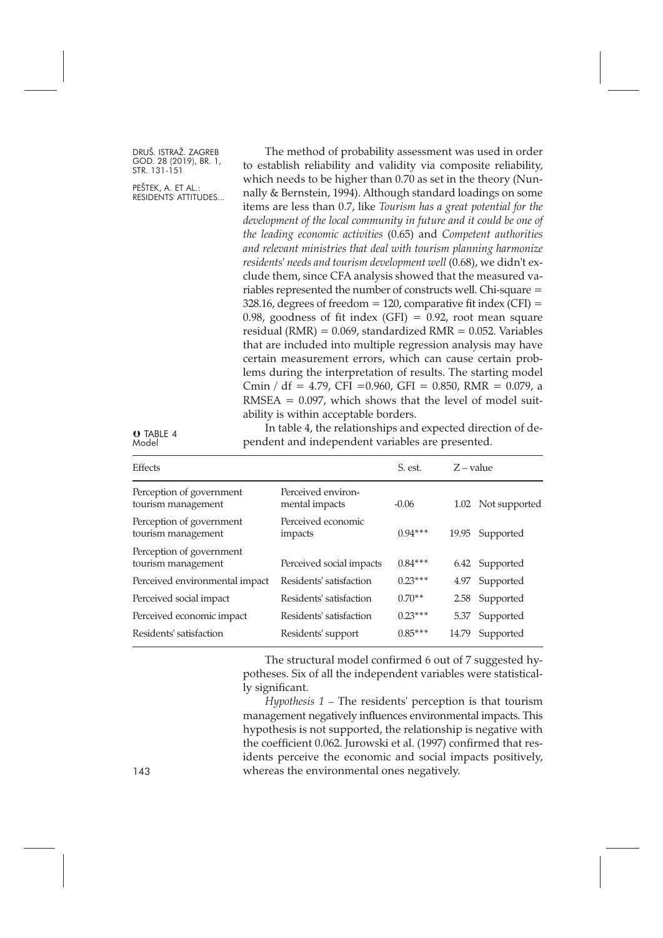PEŠTEK, A. ET AL.: RESIDENTS' ATTITUDES...

The method of probability assessment was used in order to establish reliability and validity via composite reliability, which needs to be higher than 0.70 as set in the theory (Nunnally & Bernstein, 1994). Although standard loadings on some items are less than 0.7, like *Tourism has a great potential for the development of the local community in future and it could be one of the leading economic activities* (0.65) and *Competent authorities and relevant ministries that deal with tourism planning harmonize residents' needs and tourism development well* (0.68), we didn't exclude them, since CFA analysis showed that the measured variables represented the number of constructs well. Chi-square = 328.16, degrees of freedom = 120, comparative fit index (CFI) = 0.98, goodness of fit index (GFI) =  $0.92$ , root mean square residual (RMR) =  $0.069$ , standardized RMR =  $0.052$ . Variables that are included into multiple regression analysis may have certain measurement errors, which can cause certain problems during the interpretation of results. The starting model Cmin / df = 4.79, CFI = 0.960, GFI = 0.850, RMR = 0.079, a  $RMSEA = 0.097$ , which shows that the level of model suitability is within acceptable borders.

O TABLE 4 Model

In table 4, the relationships and expected direction of dependent and independent variables are presented.

| Effects                                        |                                      | S. est.   | $Z - value$ |                    |
|------------------------------------------------|--------------------------------------|-----------|-------------|--------------------|
| Perception of government<br>tourism management | Perceived environ-<br>mental impacts | $-0.06$   |             | 1.02 Not supported |
| Perception of government<br>tourism management | Perceived economic<br>impacts        | $0.94***$ | 19.95       | Supported          |
| Perception of government<br>tourism management | Perceived social impacts             | $0.84***$ |             | 6.42 Supported     |
| Perceived environmental impact                 | Residents' satisfaction              | $0.23***$ | 4.97        | Supported          |
| Perceived social impact                        | Residents' satisfaction              | $0.70**$  | 2.58        | Supported          |
| Perceived economic impact                      | Residents' satisfaction              | $0.23***$ | 5.37        | Supported          |
| Residents' satisfaction                        | Residents' support                   | $0.85***$ | 14.79       | Supported          |

The structural model confirmed 6 out of 7 suggested hypotheses. Six of all the independent variables were statistically significant.

*Hypothesis 1* – The residents' perception is that tourism management negatively influences environmental impacts. This hypothesis is not supported, the relationship is negative with the coefficient 0.062. Jurowski et al. (1997) confirmed that residents perceive the economic and social impacts positively, 143 whereas the environmental ones negatively.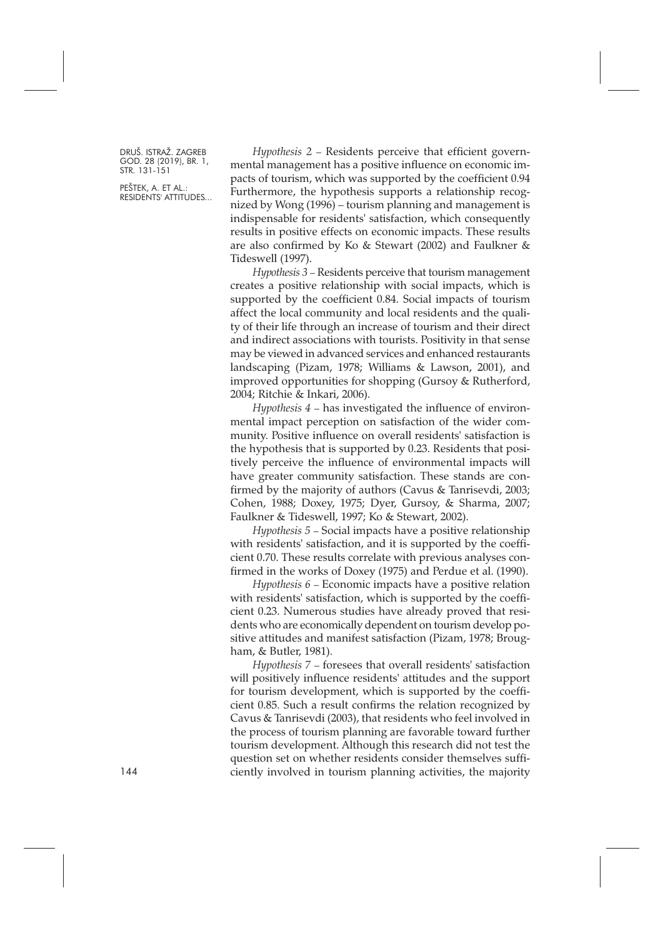PEŠTEK, A. ET AL.: RESIDENTS' ATTITUDES...

*Hypothesis 2* – Residents perceive that efficient governmental management has a positive influence on economic impacts of tourism, which was supported by the coefficient 0.94 Furthermore, the hypothesis supports a relationship recognized by Wong (1996) – tourism planning and management is indispensable for residents' satisfaction, which consequently results in positive effects on economic impacts. These results are also confirmed by Ko & Stewart (2002) and Faulkner & Tideswell (1997).

*Hypothesis 3* – Residents perceive that tourism management creates a positive relationship with social impacts, which is supported by the coefficient 0.84. Social impacts of tourism affect the local community and local residents and the quality of their life through an increase of tourism and their direct and indirect associations with tourists. Positivity in that sense may be viewed in advanced services and enhanced restaurants landscaping (Pizam, 1978; Williams & Lawson, 2001), and improved opportunities for shopping (Gursoy & Rutherford, 2004; Ritchie & Inkari, 2006).

*Hypothesis 4* – has investigated the influence of environmental impact perception on satisfaction of the wider community. Positive influence on overall residents' satisfaction is the hypothesis that is supported by 0.23. Residents that positively perceive the influence of environmental impacts will have greater community satisfaction. These stands are confirmed by the majority of authors (Cavus & Tanrisevdi, 2003; Cohen, 1988; Doxey, 1975; Dyer, Gursoy, & Sharma, 2007; Faulkner & Tideswell, 1997; Ko & Stewart, 2002).

*Hypothesis 5* – Social impacts have a positive relationship with residents' satisfaction, and it is supported by the coefficient 0.70. These results correlate with previous analyses confirmed in the works of Doxey (1975) and Perdue et al. (1990).

*Hypothesis 6* – Economic impacts have a positive relation with residents' satisfaction, which is supported by the coefficient 0.23. Numerous studies have already proved that residents who are economically dependent on tourism develop positive attitudes and manifest satisfaction (Pizam, 1978; Brougham, & Butler, 1981).

*Hypothesis 7* – foresees that overall residents' satisfaction will positively influence residents' attitudes and the support for tourism development, which is supported by the coefficient 0.85. Such a result confirms the relation recognized by Cavus & Tanrisevdi (2003), that residents who feel involved in the process of tourism planning are favorable toward further tourism development. Although this research did not test the question set on whether residents consider themselves sufficiently involved in tourism planning activities, the majority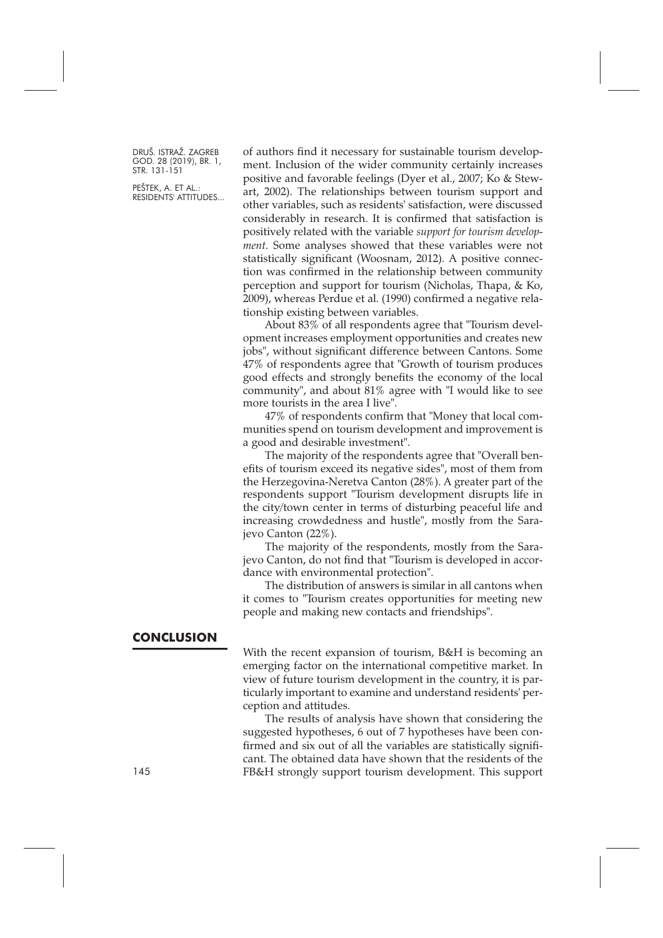PEŠTEK, A. ET AL.: RESIDENTS' ATTITUDES... of authors find it necessary for sustainable tourism development. Inclusion of the wider community certainly increases positive and favorable feelings (Dyer et al., 2007; Ko & Stewart, 2002). The relationships between tourism support and other variables, such as residents' satisfaction, were discussed considerably in research. It is confirmed that satisfaction is positively related with the variable *support for tourism development*. Some analyses showed that these variables were not statistically significant (Woosnam, 2012). A positive connection was confirmed in the relationship between community perception and support for tourism (Nicholas, Thapa, & Ko, 2009), whereas Perdue et al. (1990) confirmed a negative relationship existing between variables.

About 83% of all respondents agree that "Tourism development increases employment opportunities and creates new jobs", without significant difference between Cantons. Some 47% of respondents agree that "Growth of tourism produces good effects and strongly benefits the economy of the local community", and about 81% agree with "I would like to see more tourists in the area I live".

47% of respondents confirm that "Money that local communities spend on tourism development and improvement is a good and desirable investment".

The majority of the respondents agree that "Overall benefits of tourism exceed its negative sides", most of them from the Herzegovina-Neretva Canton (28%). A greater part of the respondents support "Tourism development disrupts life in the city/town center in terms of disturbing peaceful life and increasing crowdedness and hustle", mostly from the Sarajevo Canton (22%).

The majority of the respondents, mostly from the Sarajevo Canton, do not find that "Tourism is developed in accordance with environmental protection".

The distribution of answers is similar in all cantons when it comes to "Tourism creates opportunities for meeting new people and making new contacts and friendships".

#### **CONCLUSION**

With the recent expansion of tourism, B&H is becoming an emerging factor on the international competitive market. In view of future tourism development in the country, it is particularly important to examine and understand residents' perception and attitudes.

The results of analysis have shown that considering the suggested hypotheses, 6 out of 7 hypotheses have been confirmed and six out of all the variables are statistically significant. The obtained data have shown that the residents of the 145 FB&H strongly support tourism development. This support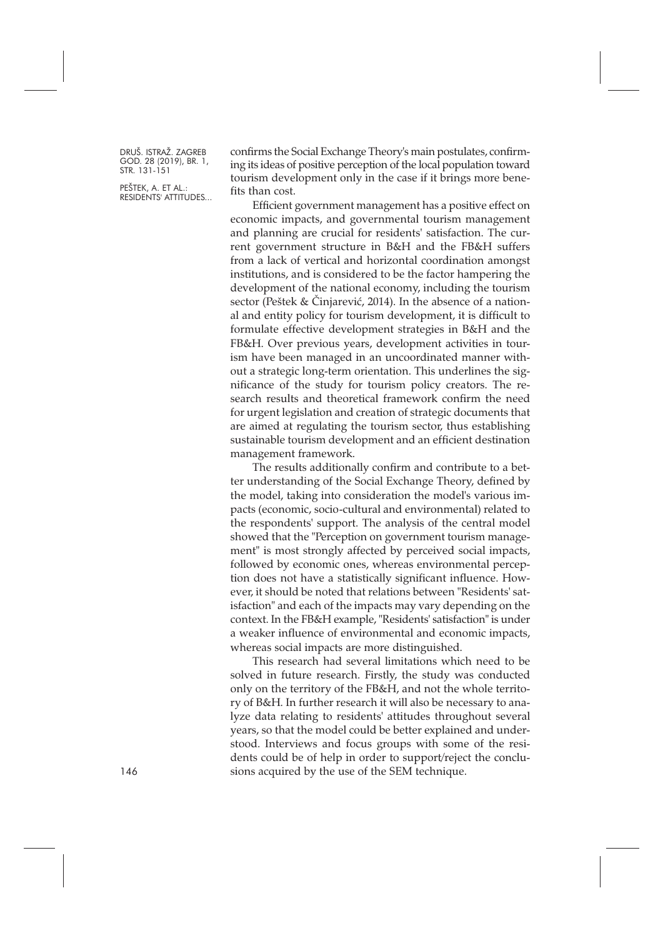PEŠTEK, A. ET AL.: RESIDENTS' ATTITUDES... confirms the Social Exchange Theory's main postulates, confirming its ideas of positive perception of the local population toward tourism development only in the case if it brings more benefits than cost.

Efficient government management has a positive effect on economic impacts, and governmental tourism management and planning are crucial for residents' satisfaction. The current government structure in B&H and the FB&H suffers from a lack of vertical and horizontal coordination amongst institutions, and is considered to be the factor hampering the development of the national economy, including the tourism sector (Peštek & Činjarević, 2014). In the absence of a national and entity policy for tourism development, it is difficult to formulate effective development strategies in B&H and the FB&H. Over previous years, development activities in tourism have been managed in an uncoordinated manner without a strategic long-term orientation. This underlines the significance of the study for tourism policy creators. The research results and theoretical framework confirm the need for urgent legislation and creation of strategic documents that are aimed at regulating the tourism sector, thus establishing sustainable tourism development and an efficient destination management framework.

The results additionally confirm and contribute to a better understanding of the Social Exchange Theory, defined by the model, taking into consideration the model's various impacts (economic, socio-cultural and environmental) related to the respondents' support. The analysis of the central model showed that the "Perception on government tourism management" is most strongly affected by perceived social impacts, followed by economic ones, whereas environmental perception does not have a statistically significant influence. However, it should be noted that relations between "Residents' satisfaction" and each of the impacts may vary depending on the context. In the FB&H example, "Residents' satisfaction" is under a weaker influence of environmental and economic impacts, whereas social impacts are more distinguished.

This research had several limitations which need to be solved in future research. Firstly, the study was conducted only on the territory of the FB&H, and not the whole territory of B&H. In further research it will also be necessary to analyze data relating to residents' attitudes throughout several years, so that the model could be better explained and understood. Interviews and focus groups with some of the residents could be of help in order to support/reject the conclusions acquired by the use of the SEM technique.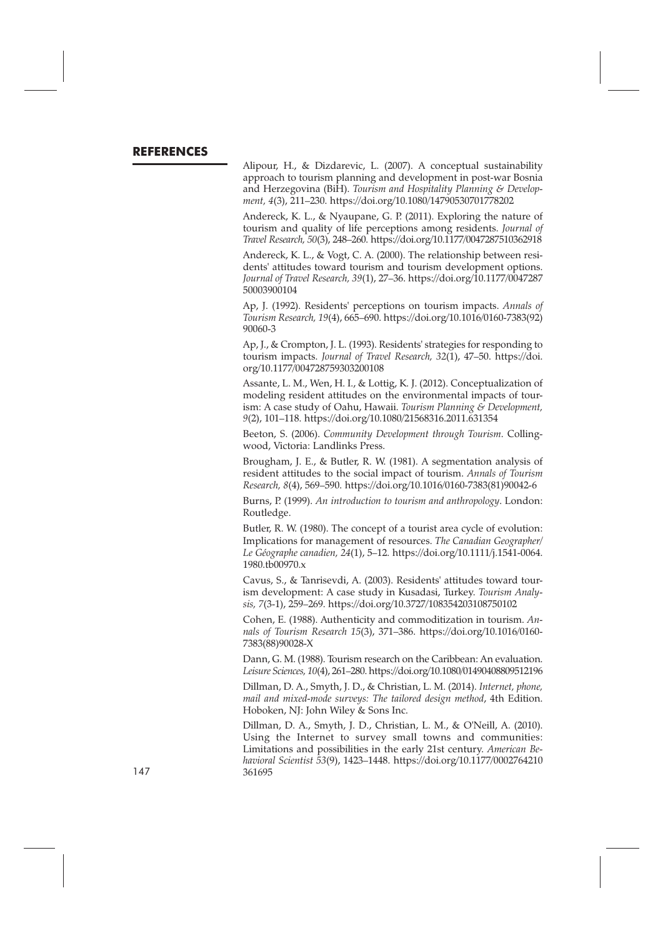### **REFERENCES**

Alipour, H., & Dizdarevic, L. (2007). A conceptual sustainability approach to tourism planning and development in post-war Bosnia and Herzegovina (BiH). *Tourism and Hospitality Planning & Development, 4*(3), 211–230. <https://doi.org/10.1080/14790530701778202>

Andereck, K. L., & Nyaupane, G. P. (2011). Exploring the nature of tourism and quality of life perceptions among residents. *Journal of Travel Research, 50*(3), 248–260. <https://doi.org/10.1177/0047287510362918>

Andereck, K. L., & Vogt, C. A. (2000). The relationship between residents' attitudes toward tourism and tourism development options. *Journal of Travel Research, 39*(1), 27–36. [https://doi.org/10.1177/0047287](https://doi.org/10.1177/004728750003900104) [50003900104](https://doi.org/10.1177/004728750003900104)

Ap, J. (1992). Residents' perceptions on tourism impacts. *Annals of Tourism Research, 19*(4), 665–690. [https://doi.org/10.1016/0160-7383\(92\)](https://doi.org/10.1016/0160-7383(92)90060-3) [90060-3](https://doi.org/10.1016/0160-7383(92)90060-3)

Ap, J., & Crompton, J. L. (1993). Residents' strategies for responding to tourism impacts. *Journal of Travel Research, 32*(1), 47–50. [https://doi.](https://doi.org/10.1177/004728759303200108) [org/10.1177/004728759303200108](https://doi.org/10.1177/004728759303200108)

Assante, L. M., Wen, H. I., & Lottig, K. J. (2012). Conceptualization of modeling resident attitudes on the environmental impacts of tourism: A case study of Oahu, Hawaii. *Tourism Planning & Development, 9*(2), 101–118. <https://doi.org/10.1080/21568316.2011.631354>

Beeton, S. (2006). *Community Development through Tourism*. Collingwood, Victoria: Landlinks Press.

Brougham, J. E., & Butler, R. W. (1981). A segmentation analysis of resident attitudes to the social impact of tourism. *Annals of Tourism Research, 8*(4), 569–590. [https://doi.org/10.1016/0160-7383\(81\)90042-6](https://doi.org/10.1016/0160-7383(81)90042-6)

Burns, P. (1999). *An introduction to tourism and anthropology*. London: Routledge.

Butler, R. W. (1980). The concept of a tourist area cycle of evolution: Implications for management of resources. *The Canadian Geographer/ Le Géographe canadien, 24*(1), 5–12. [https://doi.org/10.1111/j.1541-0064.](https://doi.org/10.1111/j.1541-0064.1980.tb00970.x) [1980.tb00970.x](https://doi.org/10.1111/j.1541-0064.1980.tb00970.x)

Cavus, S., & Tanrisevdi, A. (2003). Residents' attitudes toward tourism development: A case study in Kusadasi, Turkey. *Tourism Analysis, 7*(3-1), 259–269. <https://doi.org/10.3727/108354203108750102>

Cohen, E. (1988). Authenticity and commoditization in tourism. *Annals of Tourism Research 15*(3), 371–386. [https://doi.org/10.1016/0160-](https://doi.org/10.1016/0160-7383(88)90028-X) [7383\(88\)90028-X](https://doi.org/10.1016/0160-7383(88)90028-X)

Dann, G. M. (1988). Tourism research on the Caribbean: An evaluation. *Leisure Sciences, 10*(4), 261–280. <https://doi.org/10.1080/01490408809512196>

Dillman, D. A., Smyth, J. D., & Christian, L. M. (2014). *Internet, phone, mail and mixed-mode surveys: The tailored design method*, 4th Edition. Hoboken, NJ: John Wiley & Sons Inc.

Dillman, D. A., Smyth, J. D., Christian, L. M., & O'Neill, A. (2010). Using the Internet to survey small towns and communities: Limitations and possibilities in the early 21st century. *American Behavioral Scientist 53*(9), 1423–1448. [https://doi.org/10.1177/0002764210](https://doi.org/10.1177/0002764210361695) 147 [361695](https://doi.org/10.1177/0002764210361695)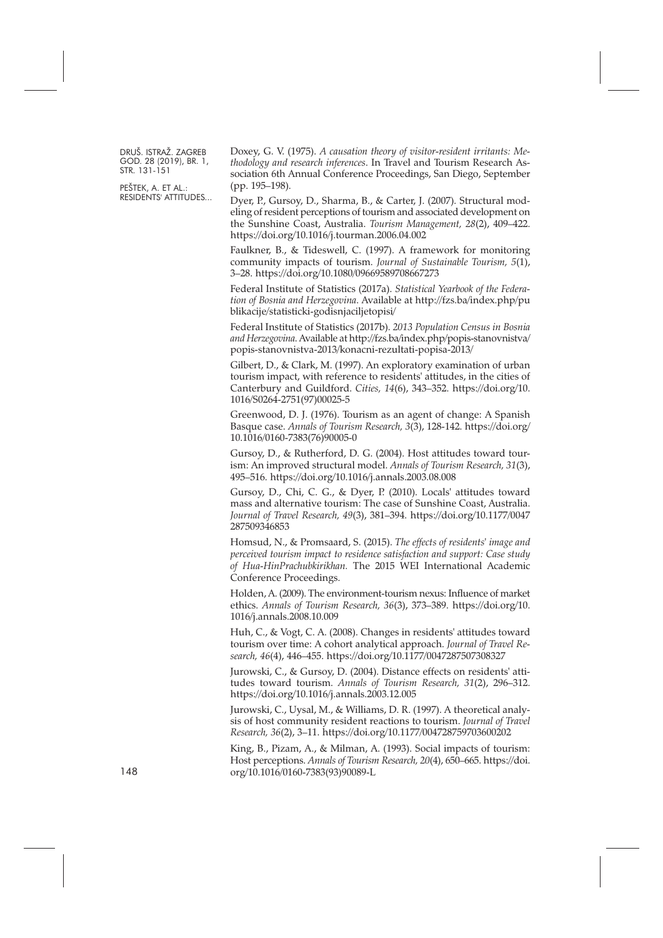PEŠTEK, A. ET AL.: RESIDENTS' ATTITUDES... Doxey, G. V. (1975). *A causation theory of visitor-resident irritants: Methodology and research inferences*. In Travel and Tourism Research Association 6th Annual Conference Proceedings, San Diego, September (pp. 195–198).

Dyer, P., Gursoy, D., Sharma, B., & Carter, J. (2007). Structural modeling of resident perceptions of tourism and associated development on the Sunshine Coast, Australia. *Tourism Management, 28*(2), 409–422. <https://doi.org/10.1016/j.tourman.2006.04.002>

Faulkner, B., & Tideswell, C. (1997). A framework for monitoring community impacts of tourism. *Journal of Sustainable Tourism, 5*(1), 3–28. <https://doi.org/10.1080/09669589708667273>

Federal Institute of Statistics (2017a). *Statistical Yearbook of the Federation of Bosnia and Herzegovina*. Available at [http://fzs.ba/index.php/pu](http://fzs.ba/index.php/publikacije/statisticki-godisnjaciljetopisi) [blikacije/statisticki-godisnjaciljetopisi/](http://fzs.ba/index.php/publikacije/statisticki-godisnjaciljetopisi)

Federal Institute of Statistics (2017b). *2013 Population Census in Bosnia and Herzegovina*.Available at [http://fzs.ba/index.php/popis-stanovnistva/](http://fzs.ba/index.php/popis-stanovnistva/popis-stanovnistva-2013/konacni-rezultati-popisa-2013) [popis-stanovnistva-2013/konacni-rezultati-popisa-2013/](http://fzs.ba/index.php/popis-stanovnistva/popis-stanovnistva-2013/konacni-rezultati-popisa-2013)

Gilbert, D., & Clark, M. (1997). An exploratory examination of urban tourism impact, with reference to residents' attitudes, in the cities of Canterbury and Guildford. *Cities, 14*(6), 343–352. [https://doi.org/10.](https://doi.org/10.1016/S0264-2751(97)00025-5) [1016/S0264-2751\(97\)00025-5](https://doi.org/10.1016/S0264-2751(97)00025-5)

Greenwood, D. J. (1976). Tourism as an agent of change: A Spanish Basque case. *Annals of Tourism Research, 3*(3), 128-142. [https://doi.org/](https://doi.org/10.1016/0160-7383(76)90005-0) [10.1016/0160-7383\(76\)90005-0](https://doi.org/10.1016/0160-7383(76)90005-0)

Gursoy, D., & Rutherford, D. G. (2004). Host attitudes toward tourism: An improved structural model. *Annals of Tourism Research, 31*(3), 495–516. <https://doi.org/10.1016/j.annals.2003.08.008>

Gursoy, D., Chi, C. G., & Dyer, P. (2010). Locals' attitudes toward mass and alternative tourism: The case of Sunshine Coast, Australia. *Journal of Travel Research, 49*(3), 381–394. [https://doi.org/10.1177/0047](https://doi.org/10.1177/0047287509346853) [287509346853](https://doi.org/10.1177/0047287509346853)

Homsud, N., & Promsaard, S. (2015). *The effects of residents' image and perceived tourism impact to residence satisfaction and support: Case study of Hua-HinPrachubkirikhan.* The 2015 WEI International Academic Conference Proceedings.

Holden, A. (2009). The environment-tourism nexus: Influence of market ethics. *Annals of Tourism Research, 36*(3), 373–389. [https://doi.org/10.](https://doi.org/10.1016/j.annals.2008.10.009) [1016/j.annals.2008.10.009](https://doi.org/10.1016/j.annals.2008.10.009)

Huh, C., & Vogt, C. A. (2008). Changes in residents' attitudes toward tourism over time: A cohort analytical approach. *Journal of Travel Research, 46*(4), 446–455. <https://doi.org/10.1177/0047287507308327>

Jurowski, C., & Gursoy, D. (2004). Distance effects on residents' attitudes toward tourism. *Annals of Tourism Research, 31*(2), 296–312. <https://doi.org/10.1016/j.annals.2003.12.005>

Jurowski, C., Uysal, M., & Williams, D. R. (1997). A theoretical analysis of host community resident reactions to tourism. *Journal of Travel Research, 36*(2), 3–11. <https://doi.org/10.1177/004728759703600202>

King, B., Pizam, A., & Milman, A. (1993). Social impacts of tourism: Host perceptions. *Annals of Tourism Research, 20*(4), 650–665. [https://doi.](https://doi.org/10.1016/0160-7383(93)90089-L) [org/10.1016/0160-7383\(93\)90089-L](https://doi.org/10.1016/0160-7383(93)90089-L)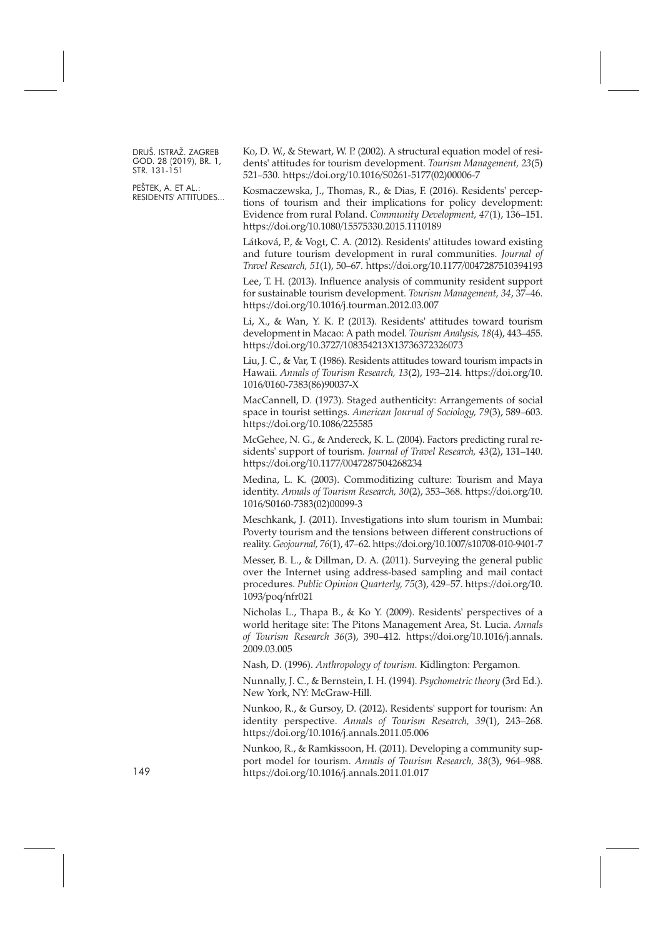PEŠTEK, A. ET AL.: RESIDENTS' ATTITUDES... Ko, D. W., & Stewart, W. P. (2002). A structural equation model of residents' attitudes for tourism development. *Tourism Management, 23*(5) 521–530. [https://doi.org/10.1016/S0261-5177\(02\)00006-7](https://doi.org/10.1016/S0261-5177(02)00006-7)

Kosmaczewska, J., Thomas, R., & Dias, F. (2016). Residents' perceptions of tourism and their implications for policy development: Evidence from rural Poland. *Community Development, 47*(1), 136–151. <https://doi.org/10.1080/15575330.2015.1110189>

Látková, P., & Vogt, C. A. (2012). Residents' attitudes toward existing and future tourism development in rural communities. *Journal of Travel Research, 51*(1), 50–67. <https://doi.org/10.1177/0047287510394193>

Lee, T. H. (2013). Influence analysis of community resident support for sustainable tourism development. *Tourism Management, 34*, 37–46. <https://doi.org/10.1016/j.tourman.2012.03.007>

Li, X., & Wan, Y. K. P. (2013). Residents' attitudes toward tourism development in Macao: A path model. *Tourism Analysis, 18*(4), 443–455. <https://doi.org/10.3727/108354213X13736372326073>

Liu, J. C., & Var, T. (1986). Residents attitudes toward tourism impacts in Hawaii. *Annals of Tourism Research, 13*(2), 193–214. [https://doi.org/10.](https://doi.org/10.1016/0160-7383(86)90037-X) [1016/0160-7383\(86\)90037-X](https://doi.org/10.1016/0160-7383(86)90037-X)

MacCannell, D. (1973). Staged authenticity: Arrangements of social space in tourist settings. *American Journal of Sociology, 79*(3), 589–603. <https://doi.org/10.1086/225585>

McGehee, N. G., & Andereck, K. L. (2004). Factors predicting rural residents' support of tourism. *Journal of Travel Research, 43*(2), 131–140. <https://doi.org/10.1177/0047287504268234>

Medina, L. K. (2003). Commoditizing culture: Tourism and Maya identity. *Annals of Tourism Research, 30*(2), 353–368. [https://doi.org/10.](https://doi.org/10.1016/S0160-7383(02)00099-3) [1016/S0160-7383\(02\)00099-3](https://doi.org/10.1016/S0160-7383(02)00099-3)

Meschkank, J. (2011). Investigations into slum tourism in Mumbai: Poverty tourism and the tensions between different constructions of reality. *Geojournal, 76*(1), 47–62. <https://doi.org/10.1007/s10708-010-9401-7>

Messer, B. L., & Dillman, D. A. (2011). Surveying the general public over the Internet using address-based sampling and mail contact procedures. *Public Opinion Quarterly, 75*(3), 429–57. [https://doi.org/10.](https://doi.org/10.1093/poq/nfr021) [1093/poq/nfr021](https://doi.org/10.1093/poq/nfr021)

Nicholas L., Thapa B., & Ko Y. (2009). Residents' perspectives of a world heritage site: The Pitons Management Area, St. Lucia. *Annals of Tourism Research 36*(3), 390–412. [https://doi.org/10.1016/j.annals.](https://doi.org/10.1016/j.annals.2009.03.005) [2009.03.005](https://doi.org/10.1016/j.annals.2009.03.005)

Nash, D. (1996). *Anthropology of tourism*. Kidlington: Pergamon.

Nunnally, J. C., & Bernstein, I. H. (1994). *Psychometric theory* (3rd Ed.). New York, NY: McGraw-Hill.

Nunkoo, R., & Gursoy, D. (2012). Residents' support for tourism: An identity perspective. *Annals of Tourism Research, 39*(1), 243–268. <https://doi.org/10.1016/j.annals.2011.05.006>

Nunkoo, R., & Ramkissoon, H. (2011). Developing a community support model for tourism. *Annals of Tourism Research, 38*(3), 964–988. 149 <https://doi.org/10.1016/j.annals.2011.01.017>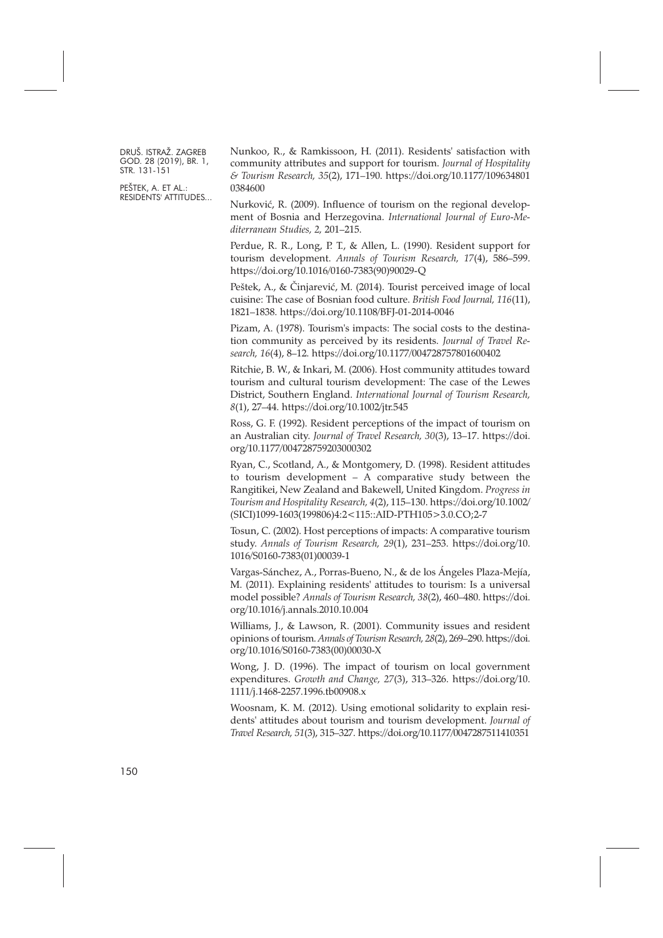PEŠTEK, A. ET AL.: RESIDENTS' ATTITUDES... Nunkoo, R., & Ramkissoon, H. (2011). Residents' satisfaction with community attributes and support for tourism. *Journal of Hospitality & Tourism Research, 35*(2), 171–190. [https://doi.org/10.1177/109634801](https://doi.org/10.1177/1096348010384600) [0384600](https://doi.org/10.1177/1096348010384600)

Nurković, R. (2009). Influence of tourism on the regional development of Bosnia and Herzegovina. *International Journal of Euro-Mediterranean Studies, 2,* 201–215.

Perdue, R. R., Long, P. T., & Allen, L. (1990). Resident support for tourism development. *Annals of Tourism Research, 17*(4), 586–599. [https://doi.org/10.1016/0160-7383\(90\)90029-Q](https://doi.org/10.1016/0160-7383(90)90029-Q)

Peštek, A., & Činjarević, M. (2014). Tourist perceived image of local cuisine: The case of Bosnian food culture. *British Food Journal, 116*(11), 1821–1838. <https://doi.org/10.1108/BFJ-01-2014-0046>

Pizam, A. (1978). Tourism's impacts: The social costs to the destination community as perceived by its residents. *Journal of Travel Research, 16*(4), 8–12. <https://doi.org/10.1177/004728757801600402>

Ritchie, B. W., & Inkari, M. (2006). Host community attitudes toward tourism and cultural tourism development: The case of the Lewes District, Southern England. *International Journal of Tourism Research, 8*(1), 27–44. <https://doi.org/10.1002/jtr.545>

Ross, G. F. (1992). Resident perceptions of the impact of tourism on an Australian city. *Journal of Travel Research, 30*(3), 13–17. [https://doi.](https://doi.org/10.1177/004728759203000302) [org/10.1177/004728759203000302](https://doi.org/10.1177/004728759203000302)

Ryan, C., Scotland, A., & Montgomery, D. (1998). Resident attitudes to tourism development – A comparative study between the Rangitikei, New Zealand and Bakewell, United Kingdom. *Progress in Tourism and Hospitality Research, 4*(2), 115–130. [https://doi.org/10.1002/](https://doi.org/10.1002/(SICI)1099-1603(199806)4:2<115::AID-PTH105>3.0.CO;2-7) [\(SICI\)1099-1603\(199806\)4:2<115::AID-PTH105>3.0.CO;2-7](https://doi.org/10.1002/(SICI)1099-1603(199806)4:2<115::AID-PTH105>3.0.CO;2-7)

Tosun, C. (2002). Host perceptions of impacts: A comparative tourism study. *Annals of Tourism Research, 29*(1), 231–253. [https://doi.org/10.](https://doi.org/10.1016/S0160-7383(01)00039-1) [1016/S0160-7383\(01\)00039-1](https://doi.org/10.1016/S0160-7383(01)00039-1)

Vargas-Sánchez, A., Porras-Bueno, N., & de los Ángeles Plaza-Mejía, M. (2011). Explaining residents' attitudes to tourism: Is a universal model possible? *Annals of Tourism Research, 38*(2), 460–480. [https://doi.](https://doi.org/10.1016/j.annals.2010.10.004) [org/10.1016/j.annals.2010.10.004](https://doi.org/10.1016/j.annals.2010.10.004)

Williams, J., & Lawson, R. (2001). Community issues and resident opinions oftourism.*Annals of Tourism Research, 28*(2), 269–290. [https://doi.](https://doi.org/10.1016/S0160-7383(00)00030-X) [org/10.1016/S0160-7383\(00\)00030-X](https://doi.org/10.1016/S0160-7383(00)00030-X)

Wong, J. D. (1996). The impact of tourism on local government expenditures. *Growth and Change, 27*(3), 313–326. [https://doi.org/10.](https://doi.org/10.1111/j.1468-2257.1996.tb00908.x) [1111/j.1468-2257.1996.tb00908.x](https://doi.org/10.1111/j.1468-2257.1996.tb00908.x)

Woosnam, K. M. (2012). Using emotional solidarity to explain residents' attitudes about tourism and tourism development. *Journal of Travel Research, 51*(3), 315–327. <https://doi.org/10.1177/0047287511410351>